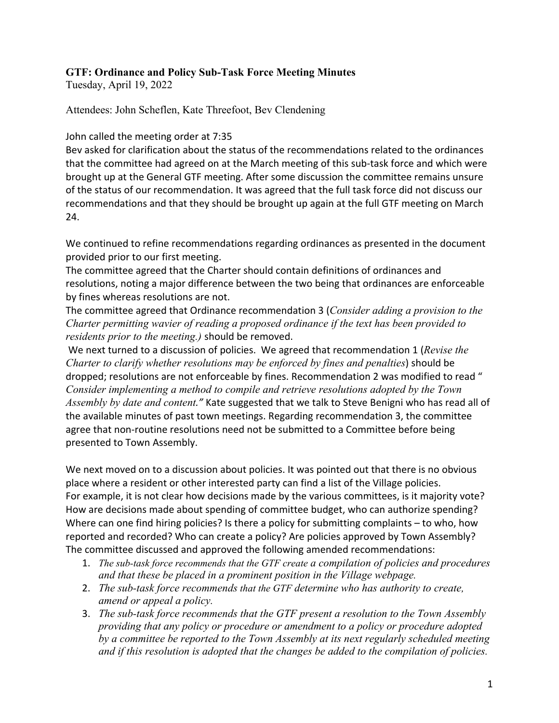## **GTF: Ordinance and Policy Sub-Task Force Meeting Minutes**

Tuesday, April 19, 2022

Attendees: John Scheflen, Kate Threefoot, Bev Clendening

John called the meeting order at 7:35

Bev asked for clarification about the status of the recommendations related to the ordinances that the committee had agreed on at the March meeting of this sub-task force and which were brought up at the General GTF meeting. After some discussion the committee remains unsure of the status of our recommendation. It was agreed that the full task force did not discuss our recommendations and that they should be brought up again at the full GTF meeting on March 24.

We continued to refine recommendations regarding ordinances as presented in the document provided prior to our first meeting.

The committee agreed that the Charter should contain definitions of ordinances and resolutions, noting a major difference between the two being that ordinances are enforceable by fines whereas resolutions are not.

The committee agreed that Ordinance recommendation 3 (*Consider adding a provision to the Charter permitting wavier of reading a proposed ordinance if the text has been provided to residents prior to the meeting.)* should be removed.

We next turned to a discussion of policies. We agreed that recommendation 1 (*Revise the Charter to clarify whether resolutions may be enforced by fines and penalties*) should be dropped; resolutions are not enforceable by fines. Recommendation 2 was modified to read " *Consider implementing a method to compile and retrieve resolutions adopted by the Town Assembly by date and content."* Kate suggested that we talk to Steve Benigni who has read all of the available minutes of past town meetings. Regarding recommendation 3, the committee agree that non-routine resolutions need not be submitted to a Committee before being presented to Town Assembly.

We next moved on to a discussion about policies. It was pointed out that there is no obvious place where a resident or other interested party can find a list of the Village policies. For example, it is not clear how decisions made by the various committees, is it majority vote? How are decisions made about spending of committee budget, who can authorize spending? Where can one find hiring policies? Is there a policy for submitting complaints – to who, how reported and recorded? Who can create a policy? Are policies approved by Town Assembly? The committee discussed and approved the following amended recommendations:

- 1. *The sub-task force recommends that the GTF create a compilation of policies and procedures and that these be placed in a prominent position in the Village webpage.*
- 2. *The sub-task force recommends that the GTF determine who has authority to create, amend or appeal a policy.*
- 3. *The sub-task force recommends that the GTF present a resolution to the Town Assembly providing that any policy or procedure or amendment to a policy or procedure adopted by a committee be reported to the Town Assembly at its next regularly scheduled meeting and if this resolution is adopted that the changes be added to the compilation of policies.*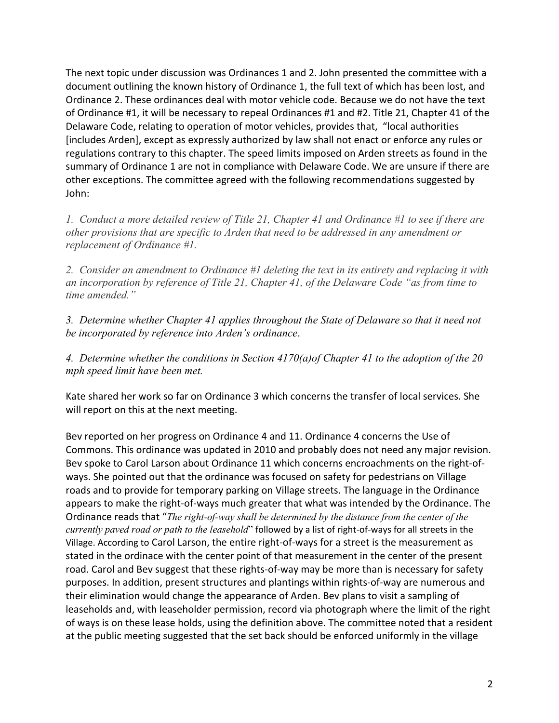The next topic under discussion was Ordinances 1 and 2. John presented the committee with a document outlining the known history of Ordinance 1, the full text of which has been lost, and Ordinance 2. These ordinances deal with motor vehicle code. Because we do not have the text of Ordinance #1, it will be necessary to repeal Ordinances #1 and #2. Title 21, Chapter 41 of the Delaware Code, relating to operation of motor vehicles, provides that, "local authorities [includes Arden], except as expressly authorized by law shall not enact or enforce any rules or regulations contrary to this chapter. The speed limits imposed on Arden streets as found in the summary of Ordinance 1 are not in compliance with Delaware Code. We are unsure if there are other exceptions. The committee agreed with the following recommendations suggested by John:

*1. Conduct a more detailed review of Title 21, Chapter 41 and Ordinance #1 to see if there are other provisions that are specific to Arden that need to be addressed in any amendment or replacement of Ordinance #1.*

*2. Consider an amendment to Ordinance #1 deleting the text in its entirety and replacing it with an incorporation by reference of Title 21, Chapter 41, of the Delaware Code "as from time to time amended."*

*3. Determine whether Chapter 41 applies throughout the State of Delaware so that it need not be incorporated by reference into Arden's ordinance*.

*4. Determine whether the conditions in Section 4170(a)of Chapter 41 to the adoption of the 20 mph speed limit have been met.* 

Kate shared her work so far on Ordinance 3 which concerns the transfer of local services. She will report on this at the next meeting.

Bev reported on her progress on Ordinance 4 and 11. Ordinance 4 concerns the Use of Commons. This ordinance was updated in 2010 and probably does not need any major revision. Bev spoke to Carol Larson about Ordinance 11 which concerns encroachments on the right-ofways. She pointed out that the ordinance was focused on safety for pedestrians on Village roads and to provide for temporary parking on Village streets. The language in the Ordinance appears to make the right-of-ways much greater that what was intended by the Ordinance. The Ordinance reads that "*The right-of-way shall be determined by the distance from the center of the currently paved road or path to the leasehold*" followed by a list of right-of-ways for all streets in the Village. According to Carol Larson, the entire right-of-ways for a street is the measurement as stated in the ordinace with the center point of that measurement in the center of the present road. Carol and Bev suggest that these rights-of-way may be more than is necessary for safety purposes. In addition, present structures and plantings within rights-of-way are numerous and their elimination would change the appearance of Arden. Bev plans to visit a sampling of leaseholds and, with leaseholder permission, record via photograph where the limit of the right of ways is on these lease holds, using the definition above. The committee noted that a resident at the public meeting suggested that the set back should be enforced uniformly in the village